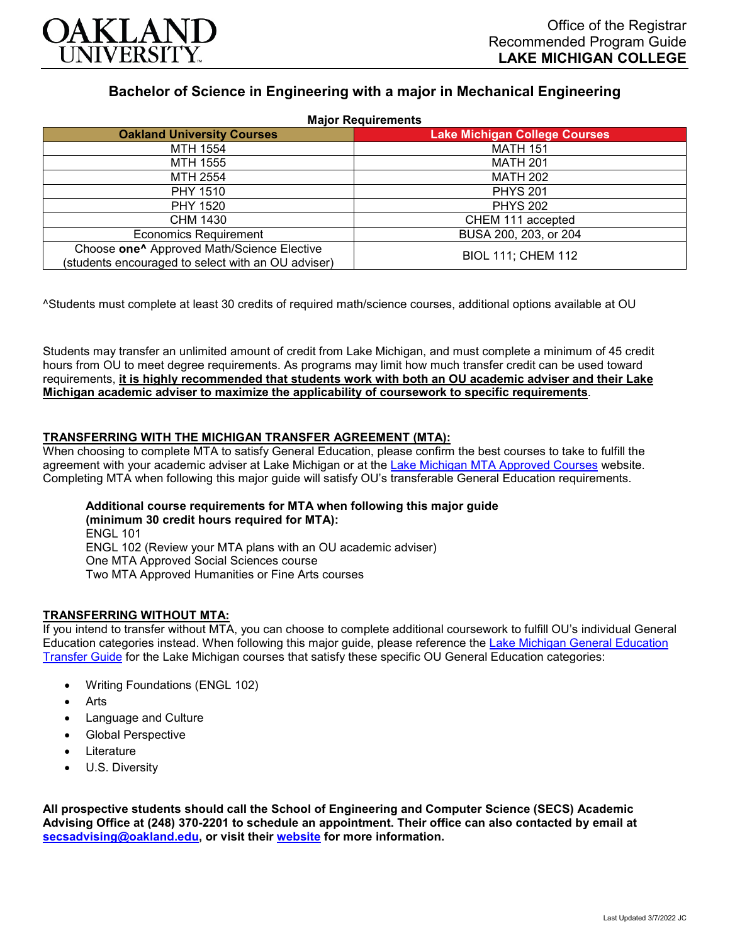

# **Bachelor of Science in Engineering with a major in Mechanical Engineering**

| <b>Major Requirements</b>                                                                                    |                                      |
|--------------------------------------------------------------------------------------------------------------|--------------------------------------|
| <b>Oakland University Courses</b>                                                                            | <b>Lake Michigan College Courses</b> |
| MTH 1554                                                                                                     | <b>MATH 151</b>                      |
| MTH 1555                                                                                                     | <b>MATH 201</b>                      |
| MTH 2554                                                                                                     | <b>MATH 202</b>                      |
| <b>PHY 1510</b>                                                                                              | <b>PHYS 201</b>                      |
| PHY 1520                                                                                                     | <b>PHYS 202</b>                      |
| CHM 1430                                                                                                     | CHEM 111 accepted                    |
| <b>Economics Requirement</b>                                                                                 | BUSA 200, 203, or 204                |
| Choose one <sup>^</sup> Approved Math/Science Elective<br>(students encouraged to select with an OU adviser) | <b>BIOL 111; CHEM 112</b>            |

^Students must complete at least 30 credits of required math/science courses, additional options available at OU

Students may transfer an unlimited amount of credit from Lake Michigan, and must complete a minimum of 45 credit hours from OU to meet degree requirements. As programs may limit how much transfer credit can be used toward requirements, **it is highly recommended that students work with both an OU academic adviser and their Lake Michigan academic adviser to maximize the applicability of coursework to specific requirements**.

## **TRANSFERRING WITH THE MICHIGAN TRANSFER AGREEMENT (MTA):**

When choosing to complete MTA to satisfy General Education, please confirm the best courses to take to fulfill the agreement with your academic adviser at Lake Michigan or at the [Lake Michigan MTA Approved Courses](https://www.lakemichigancollege.edu/academics/educational-goals/transfer/transfer-information) website. Completing MTA when following this major guide will satisfy OU's transferable General Education requirements.

#### **Additional course requirements for MTA when following this major guide (minimum 30 credit hours required for MTA):** ENGL 101 ENGL 102 (Review your MTA plans with an OU academic adviser) One MTA Approved Social Sciences course

Two MTA Approved Humanities or Fine Arts courses

### **TRANSFERRING WITHOUT MTA:**

If you intend to transfer without MTA, you can choose to complete additional coursework to fulfill OU's individual General Education categories instead. When following this major guide, please reference the [Lake Michigan General Education](https://www.oakland.edu/Assets/Oakland/program-guides/lake-michigan-college/university-general-education-requirements/Lake%20Michigan%20Gen%20Ed.pdf)  [Transfer Guide](https://www.oakland.edu/Assets/Oakland/program-guides/lake-michigan-college/university-general-education-requirements/Lake%20Michigan%20Gen%20Ed.pdf) for the Lake Michigan courses that satisfy these specific OU General Education categories:

- Writing Foundations (ENGL 102)
- **Arts**
- Language and Culture
- Global Perspective
- **Literature**
- U.S. Diversity

**All prospective students should call the School of Engineering and Computer Science (SECS) Academic Advising Office at (248) 370-2201 to schedule an appointment. Their office can also contacted by email at [secsadvising@oakland.edu,](mailto:secsadvising@oakland.edu) or visit their [website](https://wwwp.oakland.edu/secs/advising/) for more information.**